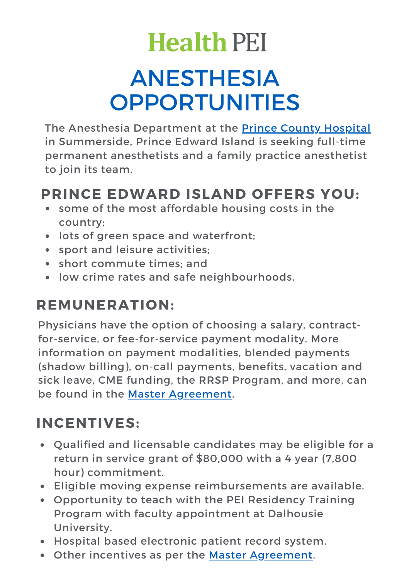# **Health PEI**

# ANESTHESIA **OPPORTUNITIES**

The Anesthesia Department at the Prince County [Hospital](https://www.princeedwardisland.ca/en/information/health-pei/prince-county-hospital) in Summerside, Prince Edward Island is seeking full-time permanent anesthetists and a family practice anesthetist to join its team.

#### **PRINCE EDWARD ISLAND OFFERS YOU:**

- some of the most affordable housing costs in the country;
- lots of green space and waterfront;
- sport and leisure activities;
- short commute times; and
- low crime rates and safe neighbourhoods.

## **REMUNERATION:**

Physicians have the option of choosing a salary, contractfor-service, or fee-for-service payment modality. More information on payment modalities, blended payments (shadow billing), on-call payments, benefits, vacation and sick leave, CME funding, the RRSP Program, and more, can be found in the Master [Agreement.](https://www.princeedwardisland.ca/en/publication/master-agreement)

#### **INCENTIVES:**

- Qualified and licensable candidates may be eligible for a return in service grant of \$80,000 with a 4 year (7,800 hour) commitment.
- Eligible moving expense reimbursements are available.
- Opportunity to teach with the PEI Residency Training Program with faculty appointment at Dalhousie University.
- Hospital based electronic patient record system.
- Other incentives as per the Master [Agreement](https://www.princeedwardisland.ca/en/publication/master-agreement).